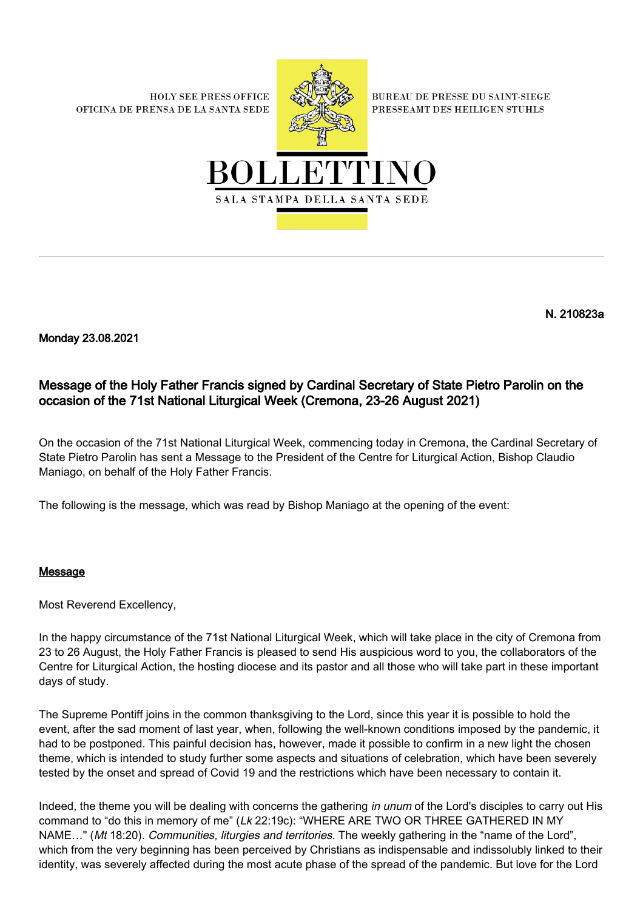**HOLY SEE PRESS OFFICE** OFICINA DE PRENSA DE LA SANTA SEDE



**BUREAU DE PRESSE DU SAINT-SIEGE** PRESSEAMT DES HEILIGEN STUHLS



N. 210823a

Monday 23.08.2021

## Message of the Holy Father Francis signed by Cardinal Secretary of State Pietro Parolin on the occasion of the 71st National Liturgical Week (Cremona, 23-26 August 2021)

On the occasion of the 71st National Liturgical Week, commencing today in Cremona, the Cardinal Secretary of State Pietro Parolin has sent a Message to the President of the Centre for Liturgical Action, Bishop Claudio Maniago, on behalf of the Holy Father Francis.

The following is the message, which was read by Bishop Maniago at the opening of the event:

## Message

Most Reverend Excellency,

In the happy circumstance of the 71st National Liturgical Week, which will take place in the city of Cremona from 23 to 26 August, the Holy Father Francis is pleased to send His auspicious word to you, the collaborators of the Centre for Liturgical Action, the hosting diocese and its pastor and all those who will take part in these important days of study.

The Supreme Pontiff joins in the common thanksgiving to the Lord, since this year it is possible to hold the event, after the sad moment of last year, when, following the well-known conditions imposed by the pandemic, it had to be postponed. This painful decision has, however, made it possible to confirm in a new light the chosen theme, which is intended to study further some aspects and situations of celebration, which have been severely tested by the onset and spread of Covid 19 and the restrictions which have been necessary to contain it.

Indeed, the theme you will be dealing with concerns the gathering in unum of the Lord's disciples to carry out His command to "do this in memory of me" (Lk 22:19c): "WHERE ARE TWO OR THREE GATHERED IN MY NAME..." (Mt 18:20). Communities, liturgies and territories. The weekly gathering in the "name of the Lord", which from the very beginning has been perceived by Christians as indispensable and indissolubly linked to their identity, was severely affected during the most acute phase of the spread of the pandemic. But love for the Lord